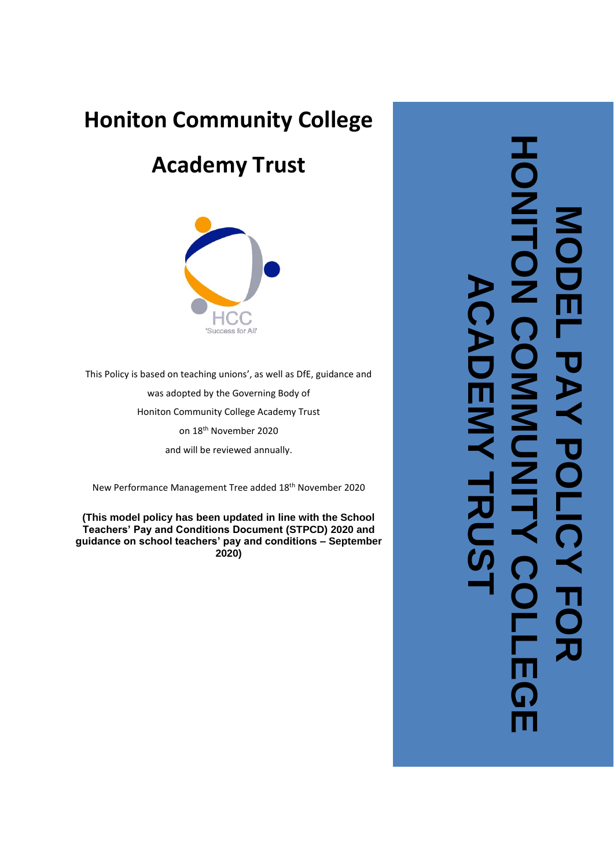# **Honiton Community College**

# **Academy Trust**



This Policy is based on teaching unions', as well as DfE, guidance and was adopted by the Governing Body of Honiton Community College Academy Trust on 18th November 2020 and will be reviewed annually.

New Performance Management Tree added 18th November 2020

**(This model policy has been updated in line with the School Teachers' Pay and Conditions Document (STPCD) 20 2 0 and guidance on school teachers' pay and conditions – September 20 2 0 )**

**HONITON COMMUNITY COLLEGE**   $\overline{\textbf{O}}$ **MODEL PAY POLICY FOR ACADEMY TRUST** $\boldsymbol{\lambda}$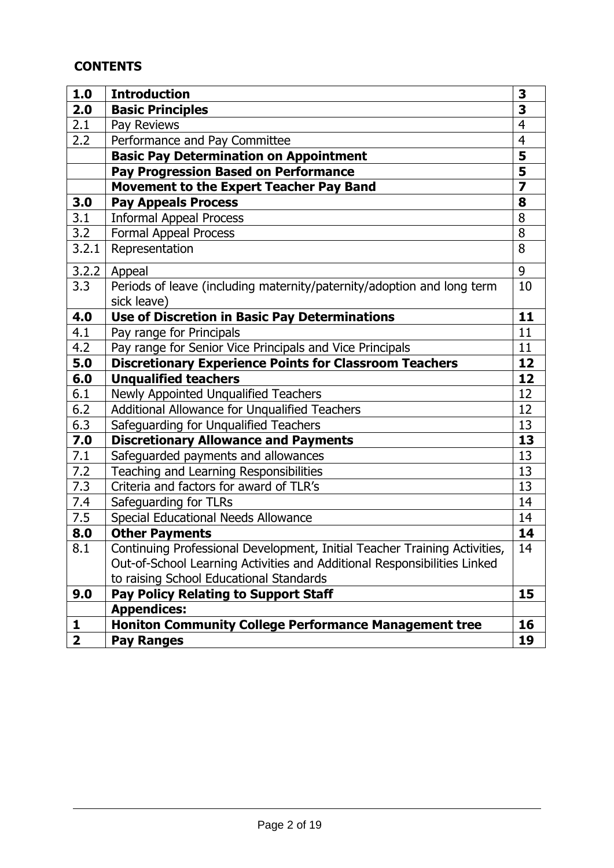# **CONTENTS**

| 1.0                     | <b>Introduction</b>                                                                   | 3                       |
|-------------------------|---------------------------------------------------------------------------------------|-------------------------|
| 2.0                     | <b>Basic Principles</b>                                                               | 3                       |
| 2.1                     | Pay Reviews                                                                           | $\overline{4}$          |
| 2.2                     | Performance and Pay Committee                                                         | $\overline{4}$          |
|                         | <b>Basic Pay Determination on Appointment</b>                                         | 5                       |
|                         | <b>Pay Progression Based on Performance</b>                                           | $\overline{\mathbf{5}}$ |
|                         | <b>Movement to the Expert Teacher Pay Band</b>                                        | $\overline{\mathbf{z}}$ |
| 3.0                     | <b>Pay Appeals Process</b>                                                            | 8                       |
| 3.1                     | <b>Informal Appeal Process</b>                                                        | 8                       |
| 3.2                     | <b>Formal Appeal Process</b>                                                          | 8                       |
| 3.2.1                   | Representation                                                                        | 8                       |
| 3.2.2                   | Appeal                                                                                | 9                       |
| 3.3                     | Periods of leave (including maternity/paternity/adoption and long term<br>sick leave) | 10                      |
| 4.0                     | <b>Use of Discretion in Basic Pay Determinations</b>                                  | 11                      |
| 4.1                     | Pay range for Principals                                                              | 11                      |
| 4.2                     | Pay range for Senior Vice Principals and Vice Principals                              | 11                      |
| 5.0                     | <b>Discretionary Experience Points for Classroom Teachers</b>                         | 12                      |
| 6.0                     | <b>Unqualified teachers</b>                                                           | 12                      |
| 6.1                     | Newly Appointed Unqualified Teachers                                                  | 12                      |
| 6.2                     | Additional Allowance for Unqualified Teachers                                         | 12                      |
| 6.3                     | Safeguarding for Unqualified Teachers                                                 | 13                      |
| 7.0                     | <b>Discretionary Allowance and Payments</b>                                           | 13                      |
| 7.1                     | Safeguarded payments and allowances                                                   | 13                      |
| 7.2                     | Teaching and Learning Responsibilities                                                | 13                      |
| 7.3                     | Criteria and factors for award of TLR's                                               | 13                      |
| 7.4                     | Safeguarding for TLRs                                                                 | 14                      |
| 7.5                     | Special Educational Needs Allowance                                                   | 14                      |
| 8.0                     | <b>Other Payments</b>                                                                 | 14                      |
| 8.1                     | Continuing Professional Development, Initial Teacher Training Activities,             | 14                      |
|                         | Out-of-School Learning Activities and Additional Responsibilities Linked              |                         |
|                         | to raising School Educational Standards                                               |                         |
| 9.0                     | <b>Pay Policy Relating to Support Staff</b>                                           | 15                      |
|                         | <b>Appendices:</b>                                                                    |                         |
| 1                       | <b>Honiton Community College Performance Management tree</b>                          | 16                      |
| $\overline{\mathbf{2}}$ | <b>Pay Ranges</b>                                                                     | 19                      |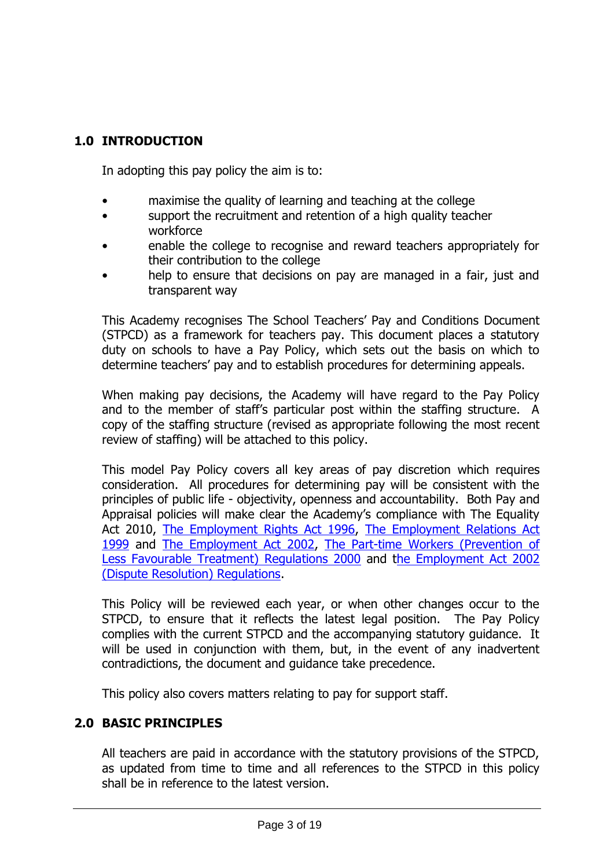# **1.0 INTRODUCTION**

In adopting this pay policy the aim is to:

- maximise the quality of learning and teaching at the college
- support the recruitment and retention of a high quality teacher workforce
- enable the college to recognise and reward teachers appropriately for their contribution to the college
- help to ensure that decisions on pay are managed in a fair, just and transparent way

This Academy recognises The School Teachers' Pay and Conditions Document (STPCD) as a framework for teachers pay. This document places a statutory duty on schools to have a Pay Policy, which sets out the basis on which to determine teachers' pay and to establish procedures for determining appeals.

When making pay decisions, the Academy will have regard to the Pay Policy and to the member of staff's particular post within the staffing structure. A copy of the staffing structure (revised as appropriate following the most recent review of staffing) will be attached to this policy.

This model Pay Policy covers all key areas of pay discretion which requires consideration. All procedures for determining pay will be consistent with the principles of public life - objectivity, openness and accountability. Both Pay and Appraisal policies will make clear the Academy's compliance with The Equality Act 2010, [The Employment Rights Act 1996,](http://www.hmso.gov.uk/acts/acts1996/1996018.htm) The Employment Relations Act [1999](http://www.hmso.gov.uk/acts/acts1999/19990026.htm) and [The Employment Act 2002,](http://www.opsi.gov.uk/acts/acts2002/20020022.htm) [The Part-time Workers \(Prevention of](http://www.dti.gov.uk/er/ptime.htm)  [Less Favourable Treatment\) Regulations 2000](http://www.dti.gov.uk/er/ptime.htm) and [the Employment Act 2002](http://www.dti.gov.uk/er/resolvingdisputes.htm)  [\(Dispute Resolution\) Regulations.](http://www.dti.gov.uk/er/resolvingdisputes.htm)

This Policy will be reviewed each year, or when other changes occur to the STPCD, to ensure that it reflects the latest legal position. The Pay Policy complies with the current STPCD and the accompanying statutory guidance. It will be used in conjunction with them, but, in the event of any inadvertent contradictions, the document and guidance take precedence.

This policy also covers matters relating to pay for support staff.

#### **2.0 BASIC PRINCIPLES**

All teachers are paid in accordance with the statutory provisions of the STPCD, as updated from time to time and all references to the STPCD in this policy shall be in reference to the latest version.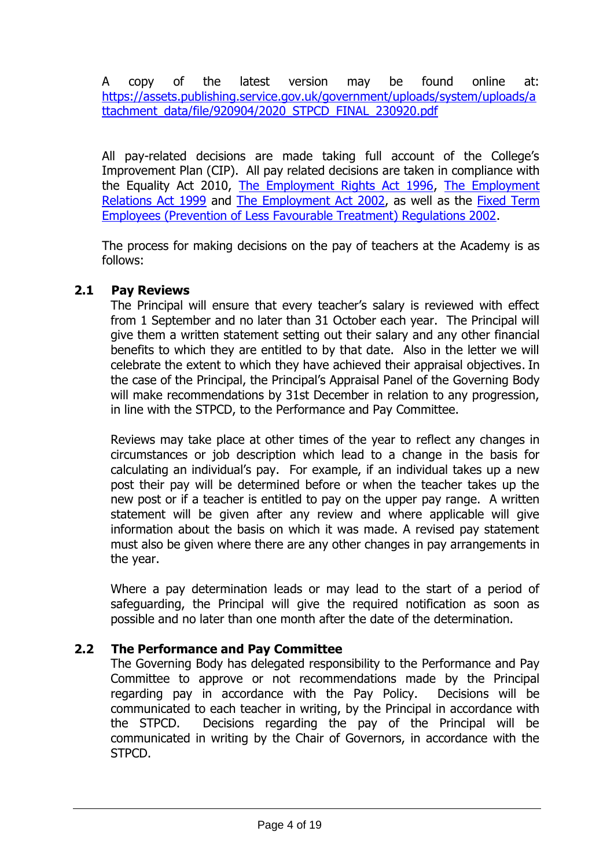A copy of the latest version may be found online at: [https://assets.publishing.service.gov.uk/government/uploads/system/uploads/a](https://assets.publishing.service.gov.uk/government/uploads/system/uploads/attachment_data/file/920904/2020_STPCD_FINAL_230920.pdf) [ttachment\\_data/file/920904/2020\\_STPCD\\_FINAL\\_230920.pdf](https://assets.publishing.service.gov.uk/government/uploads/system/uploads/attachment_data/file/920904/2020_STPCD_FINAL_230920.pdf)

All pay-related decisions are made taking full account of the College's Improvement Plan (CIP). All pay related decisions are taken in compliance with the Equality Act 2010, [The Employment Rights Act 1996,](http://www.hmso.gov.uk/acts/acts1996/1996018.htm) [The Employment](http://www.hmso.gov.uk/acts/acts1999/19990026.htm)  [Relations Act 1999](http://www.hmso.gov.uk/acts/acts1999/19990026.htm) and [The Employment Act 2002,](http://www.opsi.gov.uk/acts/acts2002/20020022.htm) as well as the [Fixed Term](http://www.legislation.hmso.gov.uk/si/si2002/20022034.htm)  [Employees \(Prevention of Less Favourable Treatment\) Regulations 2002.](http://www.legislation.hmso.gov.uk/si/si2002/20022034.htm)

The process for making decisions on the pay of teachers at the Academy is as follows:

#### **2.1 Pay Reviews**

The Principal will ensure that every teacher's salary is reviewed with effect from 1 September and no later than 31 October each year. The Principal will give them a written statement setting out their salary and any other financial benefits to which they are entitled to by that date. Also in the letter we will celebrate the extent to which they have achieved their appraisal objectives. In the case of the Principal, the Principal's Appraisal Panel of the Governing Body will make recommendations by 31st December in relation to any progression, in line with the STPCD, to the Performance and Pay Committee.

Reviews may take place at other times of the year to reflect any changes in circumstances or job description which lead to a change in the basis for calculating an individual's pay. For example, if an individual takes up a new post their pay will be determined before or when the teacher takes up the new post or if a teacher is entitled to pay on the upper pay range. A written statement will be given after any review and where applicable will give information about the basis on which it was made. A revised pay statement must also be given where there are any other changes in pay arrangements in the year.

Where a pay determination leads or may lead to the start of a period of safeguarding, the Principal will give the required notification as soon as possible and no later than one month after the date of the determination.

# **2.2 The Performance and Pay Committee**

The Governing Body has delegated responsibility to the Performance and Pay Committee to approve or not recommendations made by the Principal regarding pay in accordance with the Pay Policy. Decisions will be communicated to each teacher in writing, by the Principal in accordance with the STPCD. Decisions regarding the pay of the Principal will be communicated in writing by the Chair of Governors, in accordance with the STPCD.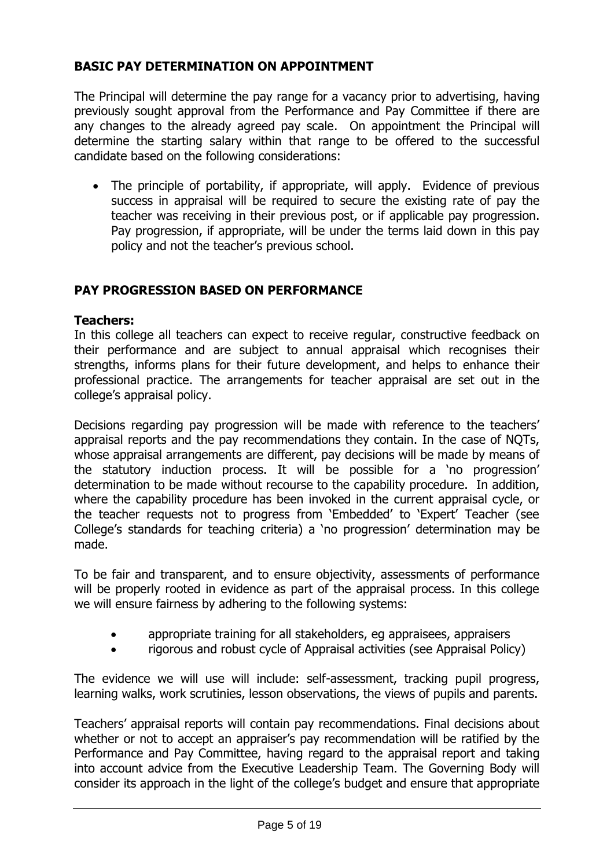#### **BASIC PAY DETERMINATION ON APPOINTMENT**

The Principal will determine the pay range for a vacancy prior to advertising, having previously sought approval from the Performance and Pay Committee if there are any changes to the already agreed pay scale. On appointment the Principal will determine the starting salary within that range to be offered to the successful candidate based on the following considerations:

• The principle of portability, if appropriate, will apply. Evidence of previous success in appraisal will be required to secure the existing rate of pay the teacher was receiving in their previous post, or if applicable pay progression. Pay progression, if appropriate, will be under the terms laid down in this pay policy and not the teacher's previous school.

#### **PAY PROGRESSION BASED ON PERFORMANCE**

#### **Teachers:**

In this college all teachers can expect to receive regular, constructive feedback on their performance and are subject to annual appraisal which recognises their strengths, informs plans for their future development, and helps to enhance their professional practice. The arrangements for teacher appraisal are set out in the college's appraisal policy.

Decisions regarding pay progression will be made with reference to the teachers' appraisal reports and the pay recommendations they contain. In the case of NQTs, whose appraisal arrangements are different, pay decisions will be made by means of the statutory induction process. It will be possible for a 'no progression' determination to be made without recourse to the capability procedure. In addition, where the capability procedure has been invoked in the current appraisal cycle, or the teacher requests not to progress from 'Embedded' to 'Expert' Teacher (see College's standards for teaching criteria) a 'no progression' determination may be made.

To be fair and transparent, and to ensure objectivity, assessments of performance will be properly rooted in evidence as part of the appraisal process. In this college we will ensure fairness by adhering to the following systems:

- appropriate training for all stakeholders, eg appraisees, appraisers
- rigorous and robust cycle of Appraisal activities (see Appraisal Policy)

The evidence we will use will include: self-assessment, tracking pupil progress, learning walks, work scrutinies, lesson observations, the views of pupils and parents.

Teachers' appraisal reports will contain pay recommendations. Final decisions about whether or not to accept an appraiser's pay recommendation will be ratified by the Performance and Pay Committee, having regard to the appraisal report and taking into account advice from the Executive Leadership Team. The Governing Body will consider its approach in the light of the college's budget and ensure that appropriate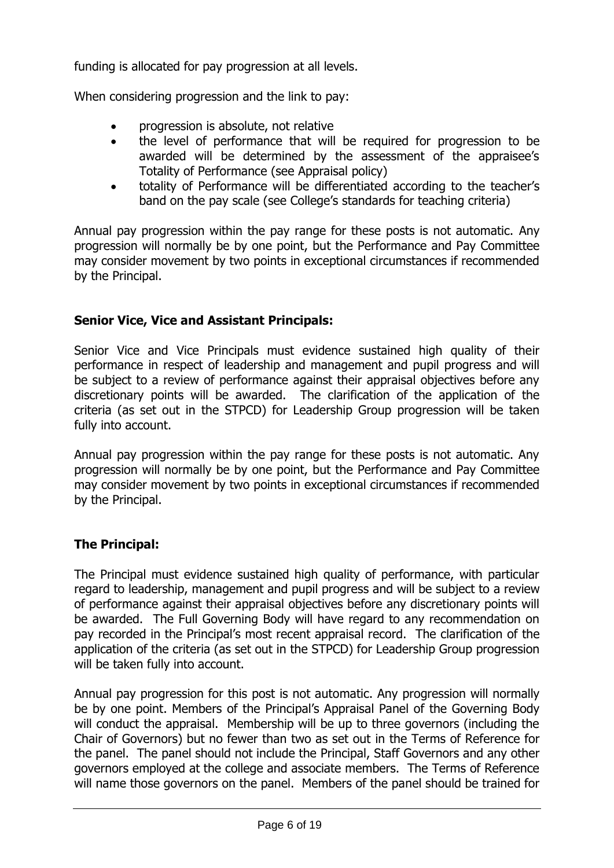funding is allocated for pay progression at all levels.

When considering progression and the link to pay:

- progression is absolute, not relative
- the level of performance that will be required for progression to be awarded will be determined by the assessment of the appraisee's Totality of Performance (see Appraisal policy)
- totality of Performance will be differentiated according to the teacher's band on the pay scale (see College's standards for teaching criteria)

Annual pay progression within the pay range for these posts is not automatic. Any progression will normally be by one point, but the Performance and Pay Committee may consider movement by two points in exceptional circumstances if recommended by the Principal.

#### **Senior Vice, Vice and Assistant Principals:**

Senior Vice and Vice Principals must evidence sustained high quality of their performance in respect of leadership and management and pupil progress and will be subject to a review of performance against their appraisal objectives before any discretionary points will be awarded. The clarification of the application of the criteria (as set out in the STPCD) for Leadership Group progression will be taken fully into account.

Annual pay progression within the pay range for these posts is not automatic. Any progression will normally be by one point, but the Performance and Pay Committee may consider movement by two points in exceptional circumstances if recommended by the Principal.

# **The Principal:**

The Principal must evidence sustained high quality of performance, with particular regard to leadership, management and pupil progress and will be subject to a review of performance against their appraisal objectives before any discretionary points will be awarded. The Full Governing Body will have regard to any recommendation on pay recorded in the Principal's most recent appraisal record. The clarification of the application of the criteria (as set out in the STPCD) for Leadership Group progression will be taken fully into account.

Annual pay progression for this post is not automatic. Any progression will normally be by one point. Members of the Principal's Appraisal Panel of the Governing Body will conduct the appraisal. Membership will be up to three governors (including the Chair of Governors) but no fewer than two as set out in the Terms of Reference for the panel. The panel should not include the Principal, Staff Governors and any other governors employed at the college and associate members. The Terms of Reference will name those governors on the panel. Members of the panel should be trained for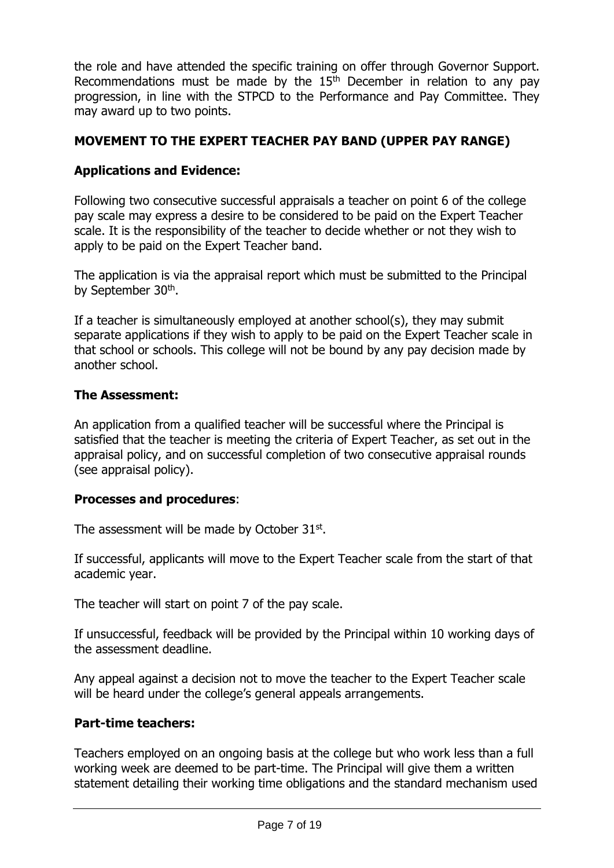the role and have attended the specific training on offer through Governor Support. Recommendations must be made by the  $15<sup>th</sup>$  December in relation to any pay progression, in line with the STPCD to the Performance and Pay Committee. They may award up to two points.

# **MOVEMENT TO THE EXPERT TEACHER PAY BAND (UPPER PAY RANGE)**

# **Applications and Evidence:**

Following two consecutive successful appraisals a teacher on point 6 of the college pay scale may express a desire to be considered to be paid on the Expert Teacher scale. It is the responsibility of the teacher to decide whether or not they wish to apply to be paid on the Expert Teacher band.

The application is via the appraisal report which must be submitted to the Principal by September 30<sup>th</sup>.

If a teacher is simultaneously employed at another school(s), they may submit separate applications if they wish to apply to be paid on the Expert Teacher scale in that school or schools. This college will not be bound by any pay decision made by another school.

#### **The Assessment:**

An application from a qualified teacher will be successful where the Principal is satisfied that the teacher is meeting the criteria of Expert Teacher, as set out in the appraisal policy, and on successful completion of two consecutive appraisal rounds (see appraisal policy).

#### **Processes and procedures**:

The assessment will be made by October  $31<sup>st</sup>$ .

If successful, applicants will move to the Expert Teacher scale from the start of that academic year.

The teacher will start on point 7 of the pay scale.

If unsuccessful, feedback will be provided by the Principal within 10 working days of the assessment deadline.

Any appeal against a decision not to move the teacher to the Expert Teacher scale will be heard under the college's general appeals arrangements.

#### **Part-time teachers:**

Teachers employed on an ongoing basis at the college but who work less than a full working week are deemed to be part-time. The Principal will give them a written statement detailing their working time obligations and the standard mechanism used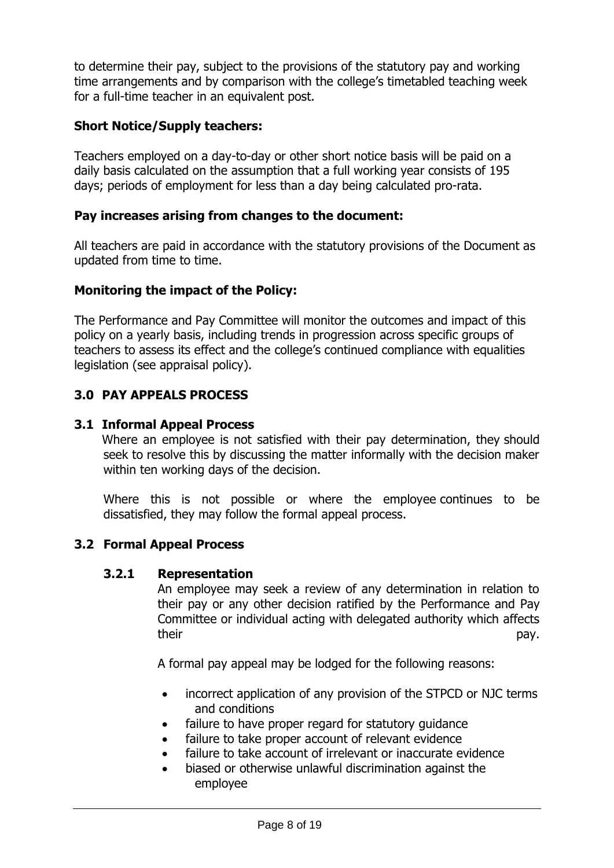to determine their pay, subject to the provisions of the statutory pay and working time arrangements and by comparison with the college's timetabled teaching week for a full-time teacher in an equivalent post.

# **Short Notice/Supply teachers:**

Teachers employed on a day-to-day or other short notice basis will be paid on a daily basis calculated on the assumption that a full working year consists of 195 days; periods of employment for less than a day being calculated pro-rata.

#### **Pay increases arising from changes to the document:**

All teachers are paid in accordance with the statutory provisions of the Document as updated from time to time.

# **Monitoring the impact of the Policy:**

The Performance and Pay Committee will monitor the outcomes and impact of this policy on a yearly basis, including trends in progression across specific groups of teachers to assess its effect and the college's continued compliance with equalities legislation (see appraisal policy).

# **3.0 PAY APPEALS PROCESS**

#### **3.1 Informal Appeal Process**

Where an employee is not satisfied with their pay determination, they should seek to resolve this by discussing the matter informally with the decision maker within ten working days of the decision.

Where this is not possible or where the employee continues to be dissatisfied, they may follow the formal appeal process.

# **3.2 Formal Appeal Process**

#### **3.2.1 Representation**

An employee may seek a review of any determination in relation to their pay or any other decision ratified by the Performance and Pay Committee or individual acting with delegated authority which affects their pay.

A formal pay appeal may be lodged for the following reasons:

- incorrect application of any provision of the STPCD or NJC terms and conditions
- failure to have proper regard for statutory guidance
- failure to take proper account of relevant evidence
- failure to take account of irrelevant or inaccurate evidence
- biased or otherwise unlawful discrimination against the employee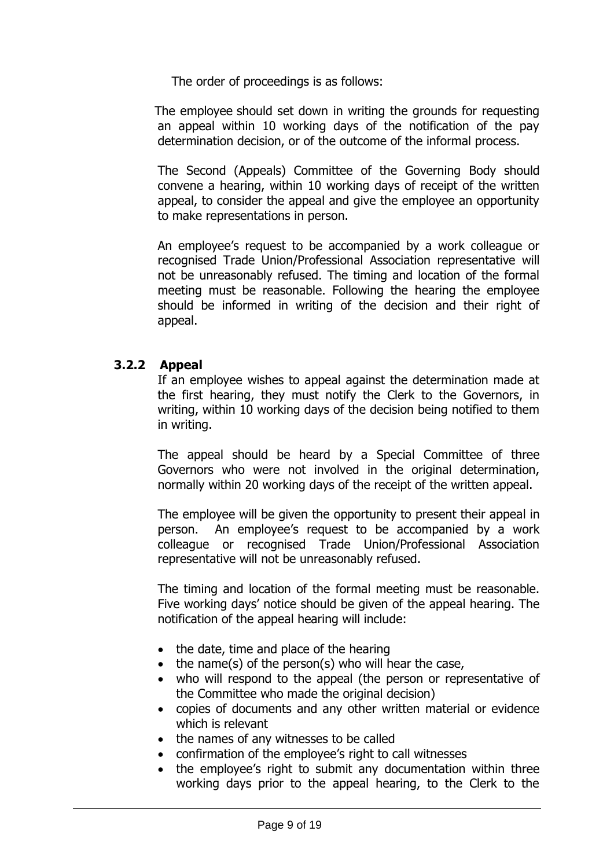The order of proceedings is as follows:

The employee should set down in writing the grounds for requesting an appeal within 10 working days of the notification of the pay determination decision, or of the outcome of the informal process.

The Second (Appeals) Committee of the Governing Body should convene a hearing, within 10 working days of receipt of the written appeal, to consider the appeal and give the employee an opportunity to make representations in person.

An employee's request to be accompanied by a work colleague or recognised Trade Union/Professional Association representative will not be unreasonably refused. The timing and location of the formal meeting must be reasonable. Following the hearing the employee should be informed in writing of the decision and their right of appeal.

#### **3.2.2 Appeal**

If an employee wishes to appeal against the determination made at the first hearing, they must notify the Clerk to the Governors, in writing, within 10 working days of the decision being notified to them in writing.

The appeal should be heard by a Special Committee of three Governors who were not involved in the original determination, normally within 20 working days of the receipt of the written appeal.

The employee will be given the opportunity to present their appeal in person. An employee's request to be accompanied by a work colleague or recognised Trade Union/Professional Association representative will not be unreasonably refused.

The timing and location of the formal meeting must be reasonable. Five working days' notice should be given of the appeal hearing. The notification of the appeal hearing will include:

- the date, time and place of the hearing
- the name(s) of the person(s) who will hear the case,
- who will respond to the appeal (the person or representative of the Committee who made the original decision)
- copies of documents and any other written material or evidence which is relevant
- the names of any witnesses to be called
- confirmation of the employee's right to call witnesses
- the employee's right to submit any documentation within three working days prior to the appeal hearing, to the Clerk to the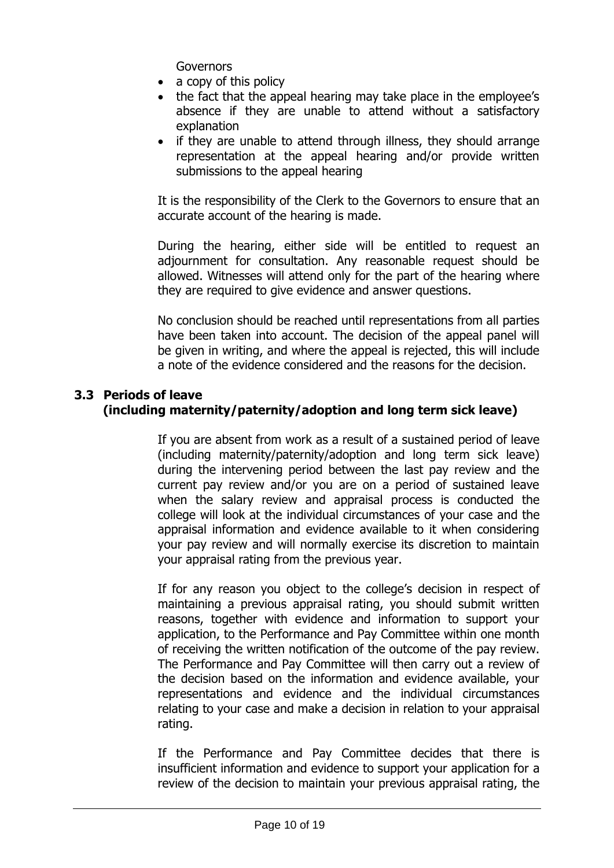**Governors** 

- a copy of this policy
- the fact that the appeal hearing may take place in the employee's absence if they are unable to attend without a satisfactory explanation
- if they are unable to attend through illness, they should arrange representation at the appeal hearing and/or provide written submissions to the appeal hearing

It is the responsibility of the Clerk to the Governors to ensure that an accurate account of the hearing is made.

During the hearing, either side will be entitled to request an adjournment for consultation. Any reasonable request should be allowed. Witnesses will attend only for the part of the hearing where they are required to give evidence and answer questions.

No conclusion should be reached until representations from all parties have been taken into account. The decision of the appeal panel will be given in writing, and where the appeal is rejected, this will include a note of the evidence considered and the reasons for the decision.

#### **3.3 Periods of leave (including maternity/paternity/adoption and long term sick leave)**

If you are absent from work as a result of a sustained period of leave (including maternity/paternity/adoption and long term sick leave) during the intervening period between the last pay review and the current pay review and/or you are on a period of sustained leave when the salary review and appraisal process is conducted the college will look at the individual circumstances of your case and the appraisal information and evidence available to it when considering your pay review and will normally exercise its discretion to maintain your appraisal rating from the previous year.

If for any reason you object to the college's decision in respect of maintaining a previous appraisal rating, you should submit written reasons, together with evidence and information to support your application, to the Performance and Pay Committee within one month of receiving the written notification of the outcome of the pay review. The Performance and Pay Committee will then carry out a review of the decision based on the information and evidence available, your representations and evidence and the individual circumstances relating to your case and make a decision in relation to your appraisal rating.

If the Performance and Pay Committee decides that there is insufficient information and evidence to support your application for a review of the decision to maintain your previous appraisal rating, the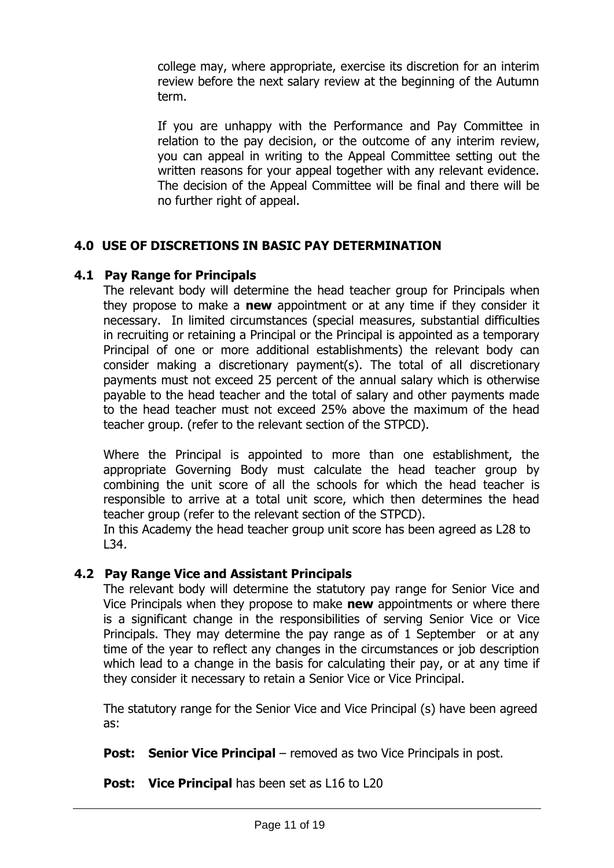college may, where appropriate, exercise its discretion for an interim review before the next salary review at the beginning of the Autumn term.

If you are unhappy with the Performance and Pay Committee in relation to the pay decision, or the outcome of any interim review, you can appeal in writing to the Appeal Committee setting out the written reasons for your appeal together with any relevant evidence. The decision of the Appeal Committee will be final and there will be no further right of appeal.

# **4.0 USE OF DISCRETIONS IN BASIC PAY DETERMINATION**

#### **4.1 Pay Range for Principals**

The relevant body will determine the head teacher group for Principals when they propose to make a **new** appointment or at any time if they consider it necessary. In limited circumstances (special measures, substantial difficulties in recruiting or retaining a Principal or the Principal is appointed as a temporary Principal of one or more additional establishments) the relevant body can consider making a discretionary payment(s). The total of all discretionary payments must not exceed 25 percent of the annual salary which is otherwise payable to the head teacher and the total of salary and other payments made to the head teacher must not exceed 25% above the maximum of the head teacher group. (refer to the relevant section of the STPCD).

Where the Principal is appointed to more than one establishment, the appropriate Governing Body must calculate the head teacher group by combining the unit score of all the schools for which the head teacher is responsible to arrive at a total unit score, which then determines the head teacher group (refer to the relevant section of the STPCD).

In this Academy the head teacher group unit score has been agreed as L28 to L34.

#### **4.2 Pay Range Vice and Assistant Principals**

The relevant body will determine the statutory pay range for Senior Vice and Vice Principals when they propose to make **new** appointments or where there is a significant change in the responsibilities of serving Senior Vice or Vice Principals. They may determine the pay range as of 1 September or at any time of the year to reflect any changes in the circumstances or job description which lead to a change in the basis for calculating their pay, or at any time if they consider it necessary to retain a Senior Vice or Vice Principal.

The statutory range for the Senior Vice and Vice Principal (s) have been agreed as:

**Post:** Senior Vice Principal – removed as two Vice Principals in post.

**Post: Vice Principal** has been set as L16 to L20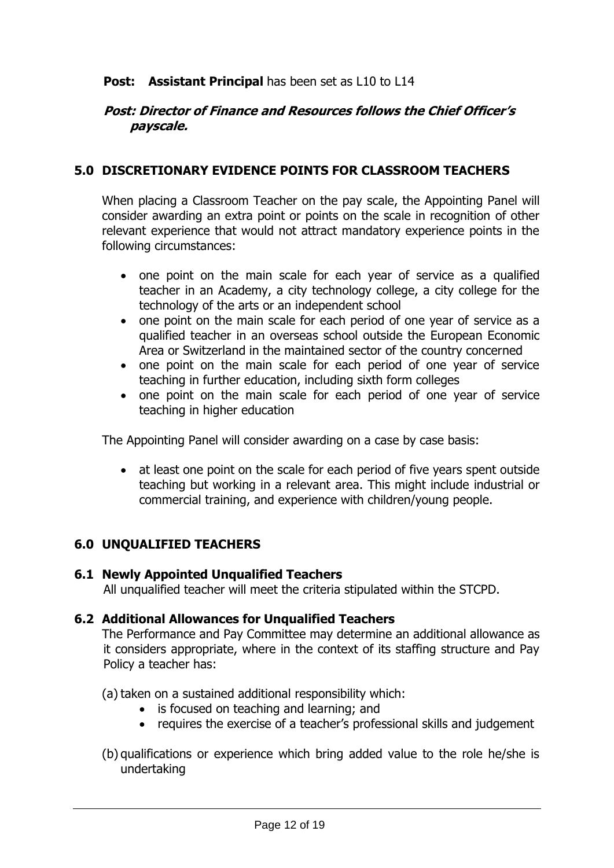#### **Post: Assistant Principal** has been set as L10 to L14

#### **Post: Director of Finance and Resources follows the Chief Officer's payscale.**

#### **5.0 DISCRETIONARY EVIDENCE POINTS FOR CLASSROOM TEACHERS**

When placing a Classroom Teacher on the pay scale, the Appointing Panel will consider awarding an extra point or points on the scale in recognition of other relevant experience that would not attract mandatory experience points in the following circumstances:

- one point on the main scale for each year of service as a qualified teacher in an Academy, a city technology college, a city college for the technology of the arts or an independent school
- one point on the main scale for each period of one year of service as a qualified teacher in an overseas school outside the European Economic Area or Switzerland in the maintained sector of the country concerned
- one point on the main scale for each period of one year of service teaching in further education, including sixth form colleges
- one point on the main scale for each period of one year of service teaching in higher education

The Appointing Panel will consider awarding on a case by case basis:

• at least one point on the scale for each period of five years spent outside teaching but working in a relevant area. This might include industrial or commercial training, and experience with children/young people.

#### **6.0 UNQUALIFIED TEACHERS**

#### **6.1 Newly Appointed Unqualified Teachers**

All unqualified teacher will meet the criteria stipulated within the STCPD.

#### **6.2 Additional Allowances for Unqualified Teachers**

The Performance and Pay Committee may determine an additional allowance as it considers appropriate, where in the context of its staffing structure and Pay Policy a teacher has:

(a) taken on a sustained additional responsibility which:

- is focused on teaching and learning; and
- requires the exercise of a teacher's professional skills and judgement
- (b) qualifications or experience which bring added value to the role he/she is undertaking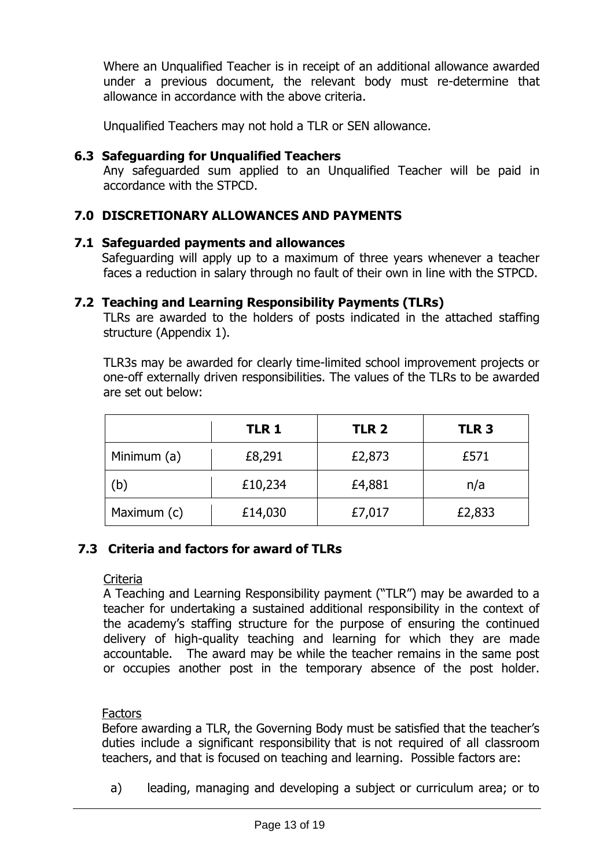Where an Unqualified Teacher is in receipt of an additional allowance awarded under a previous document, the relevant body must re-determine that allowance in accordance with the above criteria.

Unqualified Teachers may not hold a TLR or SEN allowance.

#### **6.3 Safeguarding for Unqualified Teachers**

Any safeguarded sum applied to an Unqualified Teacher will be paid in accordance with the STPCD.

#### **7.0 DISCRETIONARY ALLOWANCES AND PAYMENTS**

#### **7.1 Safeguarded payments and allowances**

Safeguarding will apply up to a maximum of three years whenever a teacher faces a reduction in salary through no fault of their own in line with the STPCD.

#### **7.2 Teaching and Learning Responsibility Payments (TLRs)**

TLRs are awarded to the holders of posts indicated in the attached staffing structure (Appendix 1).

TLR3s may be awarded for clearly time-limited school improvement projects or one-off externally driven responsibilities. The values of the TLRs to be awarded are set out below:

|             | <b>TLR 1</b> | TLR <sub>2</sub> | TLR <sub>3</sub> |
|-------------|--------------|------------------|------------------|
| Minimum (a) | £8,291       | £2,873           | £571             |
| (b)         | £10,234      | £4,881           | n/a              |
| Maximum (c) | £14,030      | £7,017           | £2,833           |

#### **7.3 Criteria and factors for award of TLRs**

#### **Criteria**

A Teaching and Learning Responsibility payment ("TLR") may be awarded to a teacher for undertaking a sustained additional responsibility in the context of the academy's staffing structure for the purpose of ensuring the continued delivery of high-quality teaching and learning for which they are made accountable. The award may be while the teacher remains in the same post or occupies another post in the temporary absence of the post holder.

#### **Factors**

Before awarding a TLR, the Governing Body must be satisfied that the teacher's duties include a significant responsibility that is not required of all classroom teachers, and that is focused on teaching and learning. Possible factors are:

a) leading, managing and developing a subject or curriculum area; or to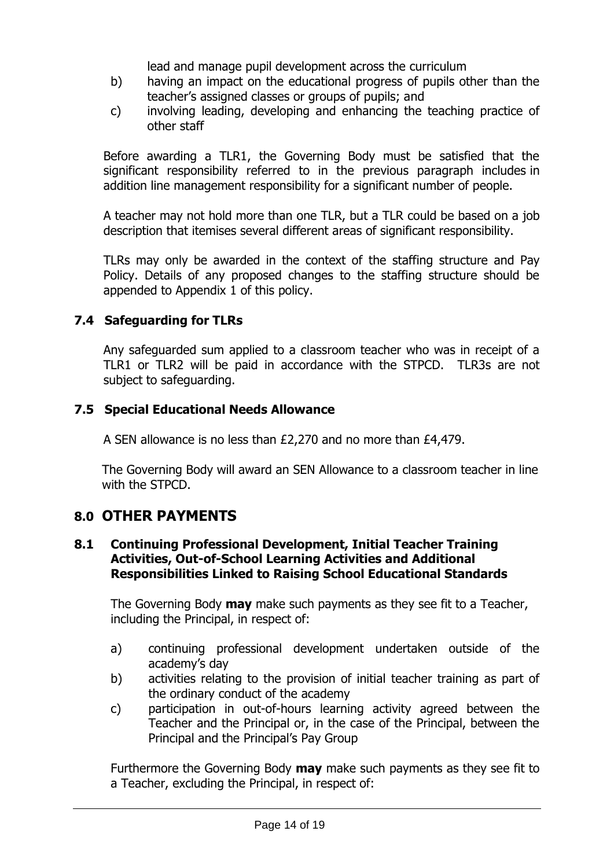lead and manage pupil development across the curriculum

- b) having an impact on the educational progress of pupils other than the teacher's assigned classes or groups of pupils; and
- c) involving leading, developing and enhancing the teaching practice of other staff

Before awarding a TLR1, the Governing Body must be satisfied that the significant responsibility referred to in the previous paragraph includes in addition line management responsibility for a significant number of people.

A teacher may not hold more than one TLR, but a TLR could be based on a job description that itemises several different areas of significant responsibility.

TLRs may only be awarded in the context of the staffing structure and Pay Policy. Details of any proposed changes to the staffing structure should be appended to Appendix 1 of this policy.

# **7.4 Safeguarding for TLRs**

Any safeguarded sum applied to a classroom teacher who was in receipt of a TLR1 or TLR2 will be paid in accordance with the STPCD. TLR3s are not subject to safeguarding.

# **7.5 Special Educational Needs Allowance**

A SEN allowance is no less than £2,270 and no more than £4,479.

The Governing Body will award an SEN Allowance to a classroom teacher in line with the STPCD.

# **8.0 OTHER PAYMENTS**

#### **8.1 Continuing Professional Development, Initial Teacher Training Activities, Out-of-School Learning Activities and Additional Responsibilities Linked to Raising School Educational Standards**

The Governing Body **may** make such payments as they see fit to a Teacher, including the Principal, in respect of:

- a) continuing professional development undertaken outside of the academy's day
- b) activities relating to the provision of initial teacher training as part of the ordinary conduct of the academy
- c) participation in out-of-hours learning activity agreed between the Teacher and the Principal or, in the case of the Principal, between the Principal and the Principal's Pay Group

Furthermore the Governing Body **may** make such payments as they see fit to a Teacher, excluding the Principal, in respect of: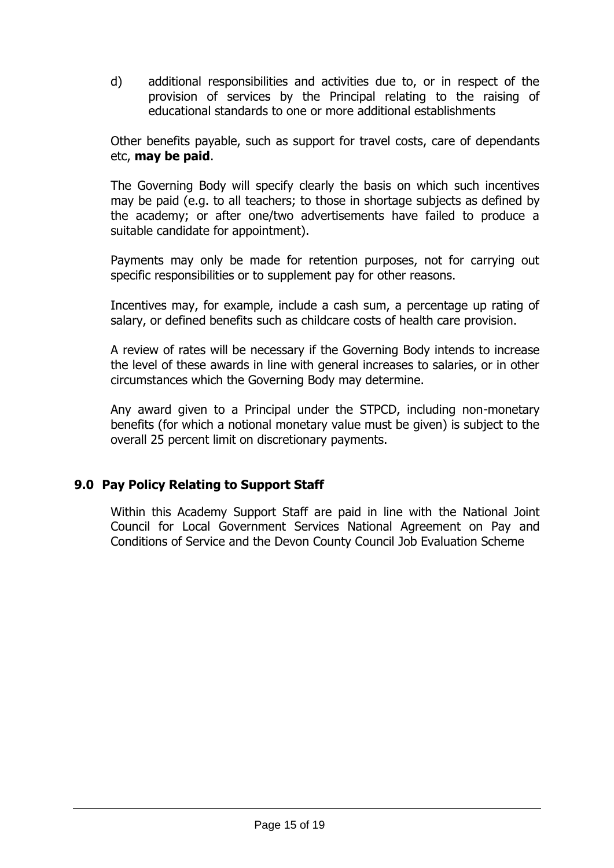d) additional responsibilities and activities due to, or in respect of the provision of services by the Principal relating to the raising of educational standards to one or more additional establishments

Other benefits payable, such as support for travel costs, care of dependants etc, **may be paid**.

The Governing Body will specify clearly the basis on which such incentives may be paid (e.g. to all teachers; to those in shortage subjects as defined by the academy; or after one/two advertisements have failed to produce a suitable candidate for appointment).

Payments may only be made for retention purposes, not for carrying out specific responsibilities or to supplement pay for other reasons.

Incentives may, for example, include a cash sum, a percentage up rating of salary, or defined benefits such as childcare costs of health care provision.

A review of rates will be necessary if the Governing Body intends to increase the level of these awards in line with general increases to salaries, or in other circumstances which the Governing Body may determine.

Any award given to a Principal under the STPCD, including non-monetary benefits (for which a notional monetary value must be given) is subject to the overall 25 percent limit on discretionary payments.

#### **9.0 Pay Policy Relating to Support Staff**

Within this Academy Support Staff are paid in line with the National Joint Council for Local Government Services National Agreement on Pay and Conditions of Service and the Devon County Council Job Evaluation Scheme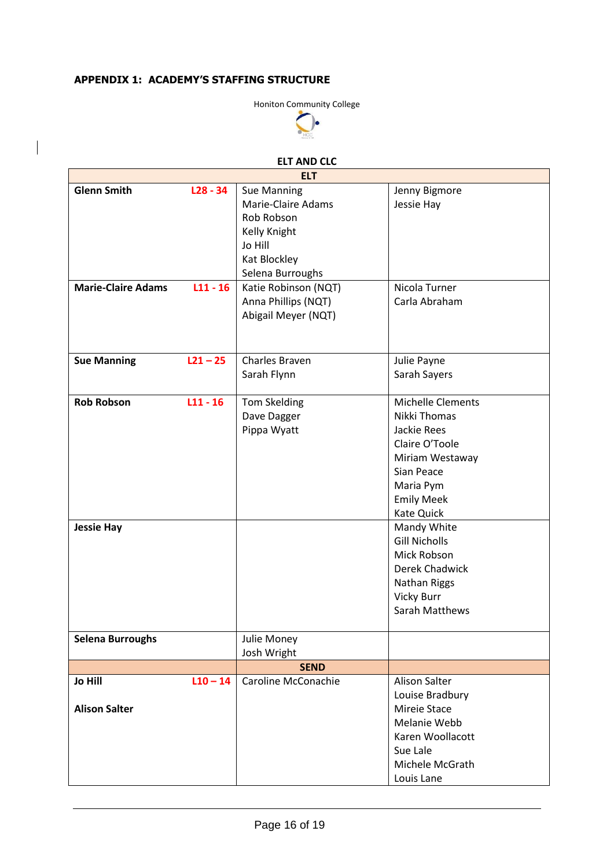#### **APPENDIX 1: ACADEMY'S STAFFING STRUCTURE**



#### **ELT AND CLC ELT**

 $\overline{\phantom{0}}$ 

| <b>ELT</b>                |            |                      |                       |  |
|---------------------------|------------|----------------------|-----------------------|--|
| <b>Glenn Smith</b>        | $L28 - 34$ | <b>Sue Manning</b>   | Jenny Bigmore         |  |
|                           |            | Marie-Claire Adams   | Jessie Hay            |  |
|                           |            | Rob Robson           |                       |  |
|                           |            | Kelly Knight         |                       |  |
|                           |            | Jo Hill              |                       |  |
|                           |            | Kat Blockley         |                       |  |
|                           |            | Selena Burroughs     |                       |  |
| <b>Marie-Claire Adams</b> | $L11 - 16$ | Katie Robinson (NQT) | Nicola Turner         |  |
|                           |            | Anna Phillips (NQT)  | Carla Abraham         |  |
|                           |            | Abigail Meyer (NQT)  |                       |  |
|                           |            |                      |                       |  |
|                           |            |                      |                       |  |
| <b>Sue Manning</b>        | $L21 - 25$ | Charles Braven       | Julie Payne           |  |
|                           |            | Sarah Flynn          | Sarah Sayers          |  |
|                           |            |                      |                       |  |
| <b>Rob Robson</b>         | $L11 - 16$ | <b>Tom Skelding</b>  | Michelle Clements     |  |
|                           |            | Dave Dagger          | Nikki Thomas          |  |
|                           |            | Pippa Wyatt          | Jackie Rees           |  |
|                           |            |                      | Claire O'Toole        |  |
|                           |            |                      | Miriam Westaway       |  |
|                           |            |                      | Sian Peace            |  |
|                           |            |                      | Maria Pym             |  |
|                           |            |                      | <b>Emily Meek</b>     |  |
|                           |            |                      | Kate Quick            |  |
| <b>Jessie Hay</b>         |            |                      | Mandy White           |  |
|                           |            |                      | <b>Gill Nicholls</b>  |  |
|                           |            |                      | Mick Robson           |  |
|                           |            |                      | Derek Chadwick        |  |
|                           |            |                      | <b>Nathan Riggs</b>   |  |
|                           |            |                      | Vicky Burr            |  |
|                           |            |                      | <b>Sarah Matthews</b> |  |
|                           |            |                      |                       |  |
| <b>Selena Burroughs</b>   |            | Julie Money          |                       |  |
|                           |            | Josh Wright          |                       |  |
|                           |            | <b>SEND</b>          |                       |  |
| <b>Jo Hill</b>            | $L10 - 14$ | Caroline McConachie  | <b>Alison Salter</b>  |  |
|                           |            |                      | Louise Bradbury       |  |
| <b>Alison Salter</b>      |            |                      | Mireie Stace          |  |
|                           |            |                      | Melanie Webb          |  |
|                           |            |                      | Karen Woollacott      |  |
|                           |            |                      | Sue Lale              |  |
|                           |            |                      | Michele McGrath       |  |
|                           |            |                      | Louis Lane            |  |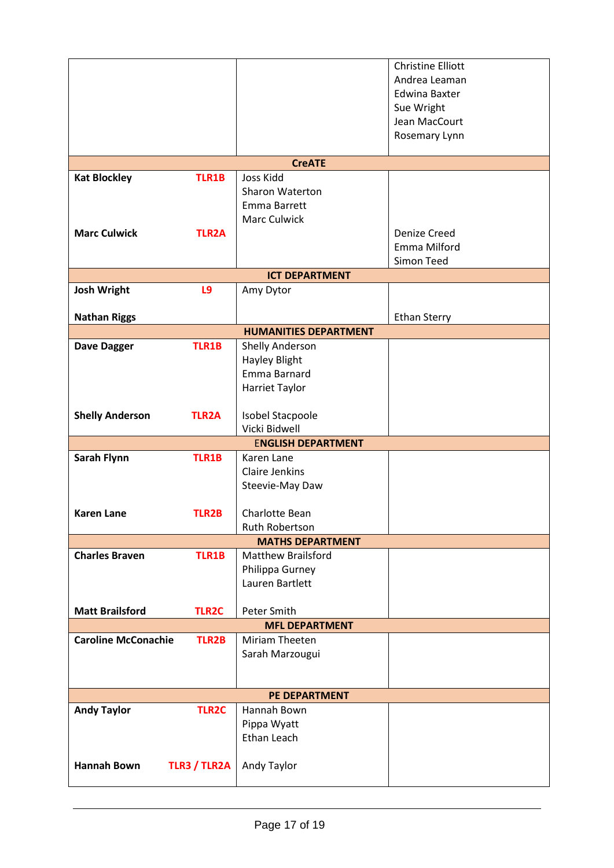|                            |                     |                                         | <b>Christine Elliott</b>              |
|----------------------------|---------------------|-----------------------------------------|---------------------------------------|
|                            |                     |                                         | Andrea Leaman<br><b>Edwina Baxter</b> |
|                            |                     |                                         | Sue Wright                            |
|                            |                     |                                         | Jean MacCourt                         |
|                            |                     |                                         | Rosemary Lynn                         |
|                            |                     | <b>CreATE</b>                           |                                       |
| <b>Kat Blockley</b>        | <b>TLR1B</b>        | Joss Kidd                               |                                       |
|                            |                     | Sharon Waterton                         |                                       |
|                            |                     | Emma Barrett                            |                                       |
| <b>Marc Culwick</b>        | <b>TLR2A</b>        | <b>Marc Culwick</b>                     | Denize Creed                          |
|                            |                     |                                         | Emma Milford                          |
|                            |                     |                                         | Simon Teed                            |
|                            |                     | <b>ICT DEPARTMENT</b>                   |                                       |
| <b>Josh Wright</b>         | L9                  | Amy Dytor                               |                                       |
|                            |                     |                                         |                                       |
| <b>Nathan Riggs</b>        |                     | <b>HUMANITIES DEPARTMENT</b>            | <b>Ethan Sterry</b>                   |
| <b>Dave Dagger</b>         | <b>TLR1B</b>        | Shelly Anderson                         |                                       |
|                            |                     | <b>Hayley Blight</b>                    |                                       |
|                            |                     | Emma Barnard                            |                                       |
|                            |                     | Harriet Taylor                          |                                       |
|                            |                     |                                         |                                       |
| <b>Shelly Anderson</b>     | <b>TLR2A</b>        | Isobel Stacpoole<br>Vicki Bidwell       |                                       |
|                            |                     | <b>ENGLISH DEPARTMENT</b>               |                                       |
| Sarah Flynn                | <b>TLR1B</b>        | Karen Lane                              |                                       |
|                            |                     | <b>Claire Jenkins</b>                   |                                       |
|                            |                     | Steevie-May Daw                         |                                       |
|                            |                     |                                         |                                       |
| <b>Karen Lane</b>          | <b>TLR2B</b>        | Charlotte Bean<br><b>Ruth Robertson</b> |                                       |
|                            |                     | <b>MATHS DEPARTMENT</b>                 |                                       |
| <b>Charles Braven</b>      | <b>TLR1B</b>        | <b>Matthew Brailsford</b>               |                                       |
|                            |                     | Philippa Gurney                         |                                       |
|                            |                     | Lauren Bartlett                         |                                       |
| <b>Matt Brailsford</b>     | <b>TLR2C</b>        | Peter Smith                             |                                       |
|                            |                     | <b>MFL DEPARTMENT</b>                   |                                       |
| <b>Caroline McConachie</b> | <b>TLR2B</b>        | Miriam Theeten                          |                                       |
|                            |                     | Sarah Marzougui                         |                                       |
|                            |                     |                                         |                                       |
|                            |                     |                                         |                                       |
|                            | <b>TLR2C</b>        | PE DEPARTMENT<br>Hannah Bown            |                                       |
| <b>Andy Taylor</b>         |                     | Pippa Wyatt                             |                                       |
|                            |                     | Ethan Leach                             |                                       |
|                            |                     |                                         |                                       |
| <b>Hannah Bown</b>         | <b>TLR3 / TLR2A</b> | Andy Taylor                             |                                       |
|                            |                     |                                         |                                       |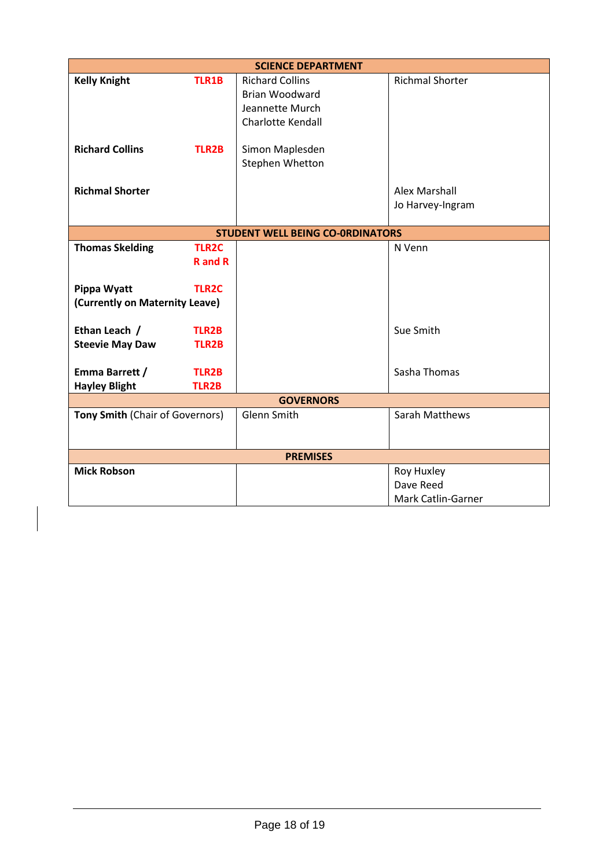| <b>SCIENCE DEPARTMENT</b>                     |                              |                                                                                                |                                               |  |
|-----------------------------------------------|------------------------------|------------------------------------------------------------------------------------------------|-----------------------------------------------|--|
| <b>Kelly Knight</b>                           | <b>TLR1B</b>                 | <b>Richard Collins</b><br><b>Brian Woodward</b><br>Jeannette Murch<br><b>Charlotte Kendall</b> | <b>Richmal Shorter</b>                        |  |
| <b>Richard Collins</b>                        | <b>TLR2B</b>                 | Simon Maplesden<br>Stephen Whetton                                                             |                                               |  |
| <b>Richmal Shorter</b>                        |                              |                                                                                                | Alex Marshall<br>Jo Harvey-Ingram             |  |
|                                               |                              | <b>STUDENT WELL BEING CO-ORDINATORS</b>                                                        |                                               |  |
| <b>Thomas Skelding</b>                        | <b>TLR2C</b>                 |                                                                                                | N Venn                                        |  |
|                                               | <b>R</b> and <b>R</b>        |                                                                                                |                                               |  |
| Pippa Wyatt<br>(Currently on Maternity Leave) | <b>TLR2C</b>                 |                                                                                                |                                               |  |
| Ethan Leach /<br><b>Steevie May Daw</b>       | <b>TLR2B</b><br><b>TLR2B</b> |                                                                                                | Sue Smith                                     |  |
| Emma Barrett /                                | <b>TLR2B</b>                 |                                                                                                | Sasha Thomas                                  |  |
| <b>Hayley Blight</b>                          | <b>TLR2B</b>                 |                                                                                                |                                               |  |
| <b>GOVERNORS</b>                              |                              |                                                                                                |                                               |  |
| Tony Smith (Chair of Governors)               |                              | Glenn Smith                                                                                    | Sarah Matthews                                |  |
|                                               |                              | <b>PREMISES</b>                                                                                |                                               |  |
| <b>Mick Robson</b>                            |                              |                                                                                                | Roy Huxley<br>Dave Reed<br>Mark Catlin-Garner |  |